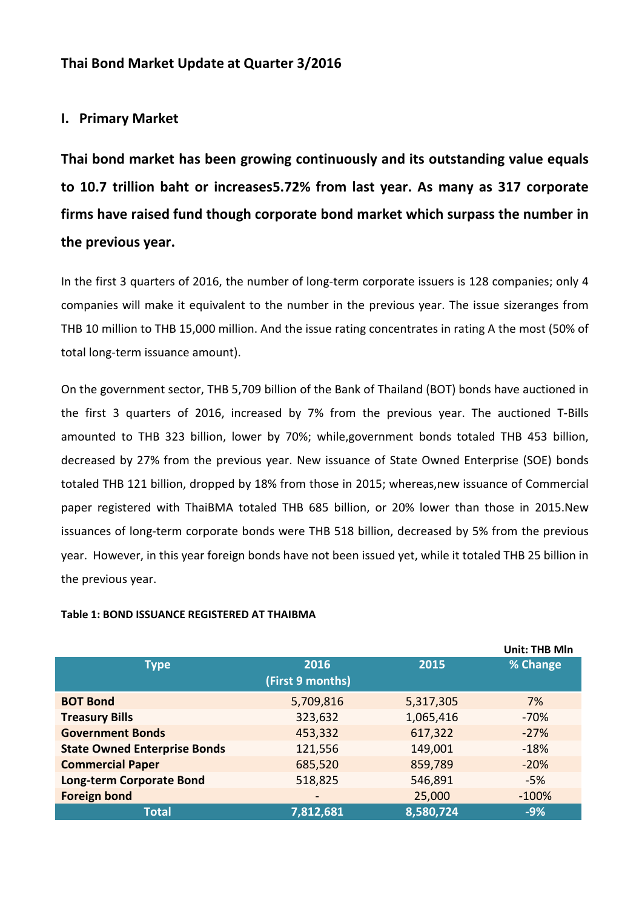# **Thai Bond Market Update at Quarter 3/2016**

## **I. Primary Market**

**Thai bond market has been growing continuously and its outstanding value equals to 10.7 trillion baht or increases5.72% from last year. As many as 317 corporate firms have raised fund though corporate bond market which surpass the number in the previous year.** 

In the first 3 quarters of 2016, the number of long-term corporate issuers is 128 companies; only 4 companies will make it equivalent to the number in the previous year. The issue sizeranges from THB 10 million to THB 15,000 million. And the issue rating concentrates in rating A the most (50% of total long-term issuance amount).

On the government sector, THB 5,709 billion of the Bank of Thailand (BOT) bonds have auctioned in the first 3 quarters of 2016, increased by 7% from the previous year. The auctioned T-Bills amounted to THB 323 billion, lower by 70%; while,government bonds totaled THB 453 billion, decreased by 27% from the previous year. New issuance of State Owned Enterprise (SOE) bonds totaled THB 121 billion, dropped by 18% from those in 2015; whereas,new issuance of Commercial paper registered with ThaiBMA totaled THB 685 billion, or 20% lower than those in 2015.New issuances of long-term corporate bonds were THB 518 billion, decreased by 5% from the previous year. However, in this year foreign bonds have not been issued yet, while it totaled THB 25 billion in the previous year.

#### **Table 1: BOND ISSUANCE REGISTERED AT THAIBMA**

|                                     |                  |           | <b>Unit: THB Mln</b> |
|-------------------------------------|------------------|-----------|----------------------|
| <b>Type</b>                         | 2016             | 2015      | % Change             |
|                                     | (First 9 months) |           |                      |
| <b>BOT Bond</b>                     | 5,709,816        | 5,317,305 | 7%                   |
| <b>Treasury Bills</b>               | 323,632          | 1,065,416 | $-70%$               |
| <b>Government Bonds</b>             | 453,332          | 617,322   | $-27%$               |
| <b>State Owned Enterprise Bonds</b> | 121,556          | 149,001   | $-18%$               |
| <b>Commercial Paper</b>             | 685,520          | 859,789   | $-20%$               |
| Long-term Corporate Bond            | 518,825          | 546,891   | $-5%$                |
| <b>Foreign bond</b>                 |                  | 25,000    | $-100%$              |
| <b>Total</b>                        | 7,812,681        | 8,580,724 | $-9%$                |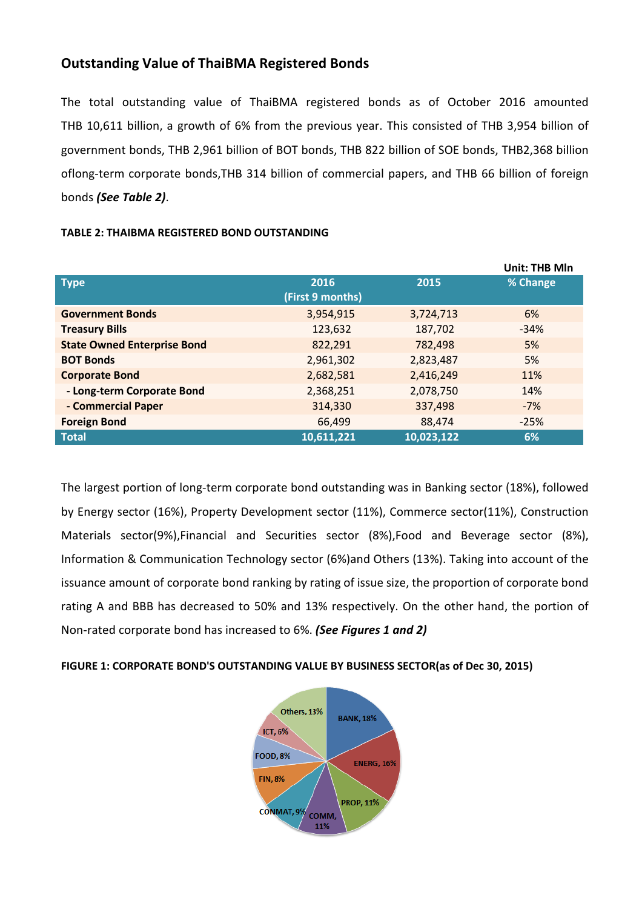# **Outstanding Value of ThaiBMA Registered Bonds**

The total outstanding value of ThaiBMA registered bonds as of October 2016 2016 amounted THB 10,611 billion, a growth of 6% from the previous year. This consisted of THB 3,954 billion of government bonds, THB 2,961 billion of BOT bonds, THB 822 billion of SOE bonds, THB2,368 billion oflong-term corporate bonds, THB 314 billion of commercial papers, and THB 66 billion of foreign bonds *(See Table 2)*.

|                                    |                  |            | <b>Unit: THB Mln</b> |
|------------------------------------|------------------|------------|----------------------|
| <b>Type</b>                        | 2016             | 2015       | % Change             |
|                                    | (First 9 months) |            |                      |
| <b>Government Bonds</b>            | 3,954,915        | 3,724,713  | 6%                   |
| <b>Treasury Bills</b>              | 123,632          | 187,702    | $-34%$               |
| <b>State Owned Enterprise Bond</b> | 822,291          | 782,498    | 5%                   |
| <b>BOT Bonds</b>                   | 2,961,302        | 2,823,487  | 5%                   |
| <b>Corporate Bond</b>              | 2,682,581        | 2,416,249  | 11%                  |
| - Long-term Corporate Bond         | 2,368,251        | 2,078,750  | 14%                  |
| - Commercial Paper                 | 314,330          | 337,498    | $-7%$                |
| <b>Foreign Bond</b>                | 66,499           | 88,474     | $-25%$               |
| <b>Total</b>                       | 10,611,221       | 10,023,122 | 6%                   |

### **TABLE 2: THAIBMA REGISTERED BOND OUTSTANDING**

The largest portion of long-term corporate bond outstanding was in Banking sector (18%), followed by Energy sector (16%), Property Development sector (11%), Commerce sector(11%), Construction Materials sector(9%), Financial and Securities sector (8%), Food and Beverage sector (8%), Information & Communication Technology sector (6%)and Others (13%). Taking into account of the Materials sector(9%), Financial and Securities sector (8%), Food and Beverage sector (8%),<br>Information & Communication Technology sector (6%) and Others (13%). Taking into account of the<br>issuance amount of corporate bond r rating A and BBB has decreased to 50% and 13% respectively. On the other hand, the portion of Non-rated corporate bond has increased to 6%. *(See Figures 1 and 2)*

FIGURE 1: CORPORATE BOND'S OUTSTANDING VALUE BY BUSINESS SECTOR(as of Dec 30, 2015)

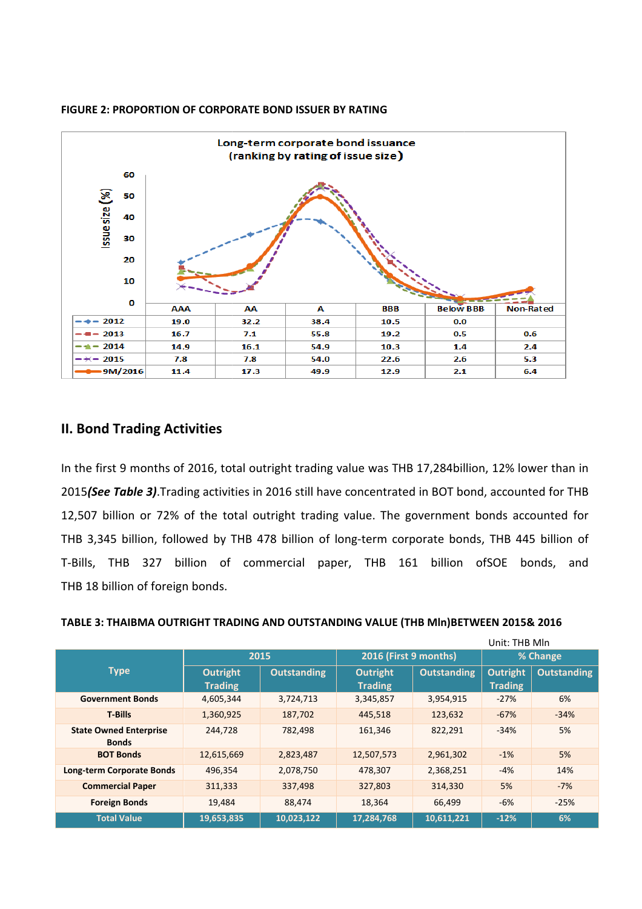

#### **FIGURE 2: PROPORTION OF CORPORATE BOND ISSUER BY RATING**

### **II. Bond Trading Activities**

In the first 9 months of 2016, total outright trading value was THB 17,284billion, 12% lower than in 2015(See Table 3). Trading activities in 2016 still have concentrated in BOT bond, accounted for THB 12,507 billion or 72% of the total outright trading value. The government bonds accounted for 12,507 billion or 72% of the total outright trading value. The government bonds accounted for<br>THB 3,345 billion, followed by THB 478 billion of long-term corporate bonds, THB 445 billion of T-Bills, THB 327 billion of commercial paper, THB 161 billion of ofSOE bonds, and THB 18 billion of foreign bonds.

| TABLE 3: THAIBMA OUTRIGHT TRADING AND OUTSTANDING VALUE (THB MIn)BETWEEN 2015& 2016 |  |  |
|-------------------------------------------------------------------------------------|--|--|
|-------------------------------------------------------------------------------------|--|--|

| Unit: THB Mln                                 |                |                    |                       |                    |                 |                    |
|-----------------------------------------------|----------------|--------------------|-----------------------|--------------------|-----------------|--------------------|
|                                               | 2015           |                    | 2016 (First 9 months) |                    | % Change        |                    |
| <b>Type</b>                                   | Outright       | <b>Outstanding</b> | <b>Outright</b>       | <b>Outstanding</b> | <b>Outright</b> | <b>Outstanding</b> |
|                                               | <b>Trading</b> |                    | <b>Trading</b>        |                    | <b>Trading</b>  |                    |
| <b>Government Bonds</b>                       | 4,605,344      | 3,724,713          | 3,345,857             | 3,954,915          | $-27%$          | 6%                 |
| <b>T-Bills</b>                                | 1,360,925      | 187,702            | 445,518               | 123,632            | $-67%$          | $-34%$             |
| <b>State Owned Enterprise</b><br><b>Bonds</b> | 244,728        | 782,498            | 161,346               | 822,291            | $-34%$          | 5%                 |
| <b>BOT Bonds</b>                              | 12,615,669     | 2,823,487          | 12,507,573            | 2,961,302          | $-1%$           | 5%                 |
| <b>Long-term Corporate Bonds</b>              | 496,354        | 2,078,750          | 478,307               | 2,368,251          | $-4%$           | 14%                |
| <b>Commercial Paper</b>                       | 311,333        | 337,498            | 327,803               | 314,330            | 5%              | $-7%$              |
| <b>Foreign Bonds</b>                          | 19,484         | 88,474             | 18,364                | 66,499             | $-6%$           | $-25%$             |
| <b>Total Value</b>                            | 19,653,835     | 10,023,122         | 17,284,768            | 10,611,221         | $-12%$          | 6%                 |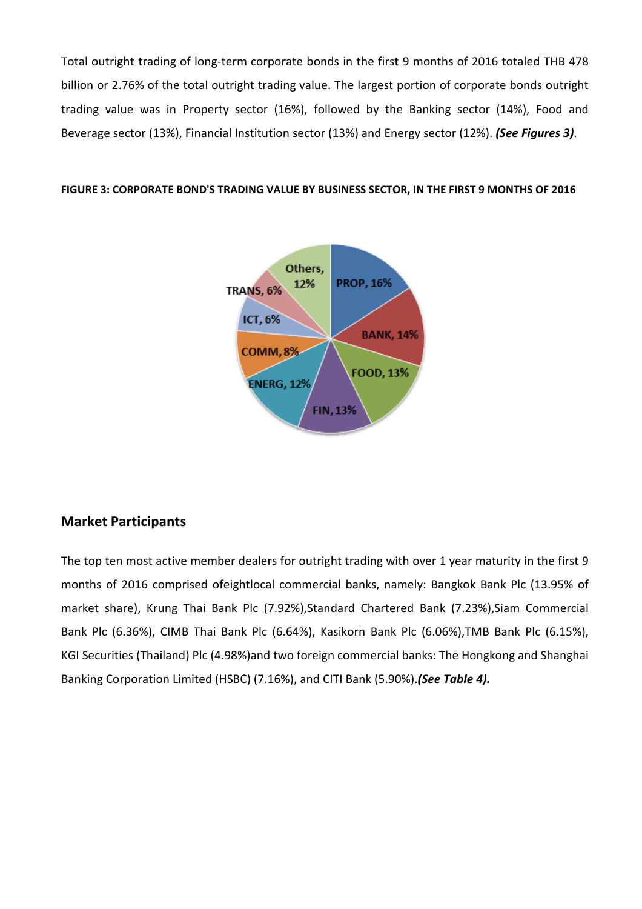Total outright trading of long-term corporate bonds in the first 9 months of 2016 totaled THB 478 billion or 2.76% of the total outright trading value. The largest portion of corporate bonds outright trading value was in Property sector (16%), followed by the Banking sector (14%), Food and Beverage sector (13%), Financial Institution sector (13%) and Energy sector (12%). (See Figures 3).

#### **FIGURE 3: CORPORATE BOND'S TRAD TRADING VALUE BY BUSINESS SECTOR, IN THE FIRST 9 MONTHS OF 2016**



# **Market Participants**

The top ten most active member dealers for outright trading with over 1 year maturity in the first 9 months of 2016 comprised ofeightlocal commercial banks, namely: Bangkok Bank Plc (13.95% of market share), Krung Thai Bank Plc (7.92%), Standard Chartered Bank (7.23%), Siam Commercial Bank Plc (6.36%), CIMB Thai Bank Plc (6.64%), Kasikorn Bank Plc (6.06%),TMB Bank Plc (6.15%), KGI Securities (Thailand) Plc (4.98%)and two foreign commercial banks: The Hongkong and Shanghai Banking Corporation Limited (HSBC) (7.16%), and CITI Bank (5.90%). (See Table 4).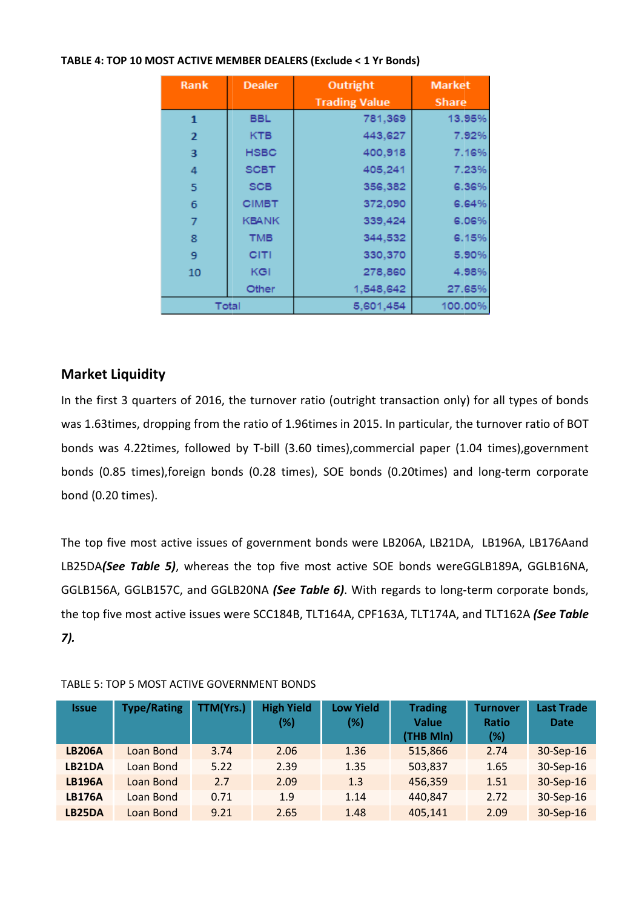| Rank           | <b>Dealer</b> | Outright             | <b>Market</b> |
|----------------|---------------|----------------------|---------------|
|                |               | <b>Trading Value</b> | <b>Share</b>  |
| 1              | <b>BBL</b>    | 781,369              | 13.95%        |
| $\overline{2}$ | <b>KTB</b>    | 443,627              | 7.92%         |
| 3              | <b>HSBC</b>   | 400,918              | 7.16%         |
| 4              | <b>SCBT</b>   | 405,241              | 7.23%         |
| 5              | <b>SCB</b>    | 356,382              | 6.36%         |
| 6              | <b>CIMBT</b>  | 372,090              | 6.64%         |
| 7              | <b>KBANK</b>  | 339,424              | 6.06%         |
| 8              | <b>TMB</b>    | 344,532              | 6.15%         |
| 9              | CITI          | 330,370              | 5.90%         |
| 10             | KGI           | 278,860              | 4.98%         |
|                | Other         | 1,548,642            | 27.65%        |
|                | Total         | 5,601,454            | 100.00%       |

## **TABLE 4: TOP 10 MOST ACTIVE MEMBER DEALERS (Exclude < 1 Yr Bonds)**

# **Market Liquidity**

In the first 3 quarters of 2016, the turnover ratio (outright transaction only) for all types of bonds In the first 3 quarters of 2016, the turnover ratio (outright transaction only) for all types of bonds<br>was 1.63times, dropping from the ratio of 1.96times in 2015. In particular, the turnover ratio of BOT bonds was 4.22times, followed by T-bill (3.60 times),commercial paper (1.04 1.04 times),government bonds (0.85 times), foreign bonds (0.28 times), SOE bonds (0.20times) and long-term corporate bond (0.20 times).

The top five most active issues of government bonds were LB206A, LB21DA, LB196A, LB176Aand LB25DA(See Table 5), whereas the top five most active SOE bonds wereGGLB189A, GGLB16NA, GGLB156A, GGLB157C, and GGLB20NA (See Table 6). With regards to long-term corporate bonds, the top five most active issues were SCC184B, TLT164A, CPF163A, TLT174A, and TLT162A *(See Table 7).*

| <b>Issue</b>  | <b>Type/Rating</b> | TTM(Yrs.) | <b>High Yield</b><br>$(\%)$ | <b>Low Yield</b><br>(%) | <b>Trading</b><br><b>Value</b><br>(THB Mln) | <b>Turnover</b><br><b>Ratio</b><br>$(\%)$ | <b>Last Trade</b><br><b>Date</b> |
|---------------|--------------------|-----------|-----------------------------|-------------------------|---------------------------------------------|-------------------------------------------|----------------------------------|
| <b>LB206A</b> | Loan Bond          | 3.74      | 2.06                        | 1.36                    | 515,866                                     | 2.74                                      | 30-Sep-16                        |
| LB21DA        | Loan Bond          | 5.22      | 2.39                        | 1.35                    | 503,837                                     | 1.65                                      | 30-Sep-16                        |
| <b>LB196A</b> | Loan Bond          | 2.7       | 2.09                        | 1.3                     | 456,359                                     | 1.51                                      | 30-Sep-16                        |
| <b>LB176A</b> | Loan Bond          | 0.71      | 1.9                         | 1.14                    | 440,847                                     | 2.72                                      | 30-Sep-16                        |
| LB25DA        | Loan Bond          | 9.21      | 2.65                        | 1.48                    | 405,141                                     | 2.09                                      | 30-Sep-16                        |

### TABLE 5: TOP 5 MOST ACTIVE GOVERNMENT BONDS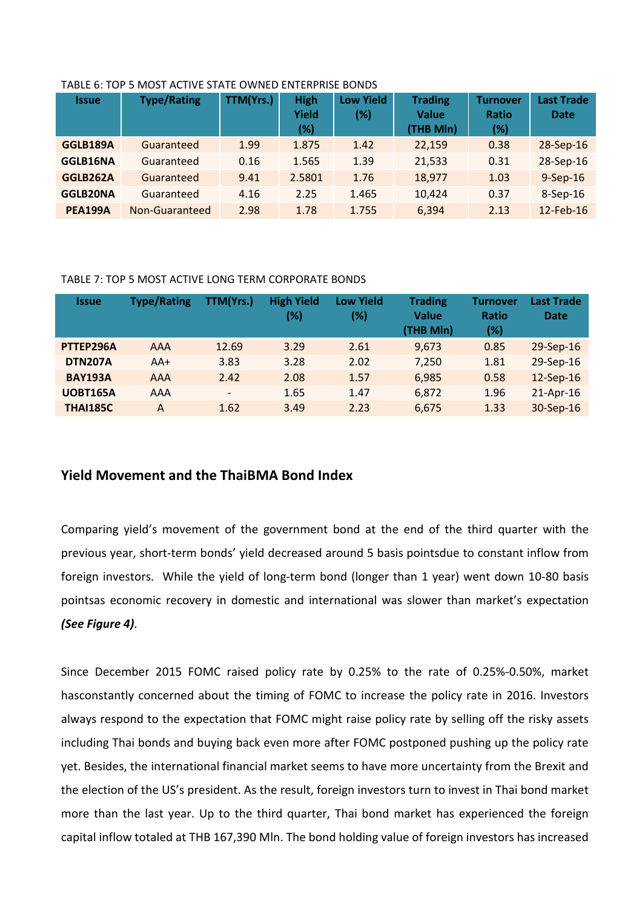| <b>Issue</b>    | <b>Type/Rating</b> | <b>TTM(Yrs.)</b> | <b>High</b><br><b>Yield</b><br>(%) | <b>Low Yield</b><br>$(\%)$ | <b>Trading</b><br><b>Value</b><br>(THB Mln) | <b>Turnover</b><br><b>Ratio</b><br>(%) | <b>Last Trade</b><br><b>Date</b> |
|-----------------|--------------------|------------------|------------------------------------|----------------------------|---------------------------------------------|----------------------------------------|----------------------------------|
| GGLB189A        | Guaranteed         | 1.99             | 1.875                              | 1.42                       | 22,159                                      | 0.38                                   | 28-Sep-16                        |
| GGLB16NA        | Guaranteed         | 0.16             | 1.565                              | 1.39                       | 21,533                                      | 0.31                                   | 28-Sep-16                        |
| GGLB262A        | Guaranteed         | 9.41             | 2.5801                             | 1.76                       | 18,977                                      | 1.03                                   | $9-$ Sep $-16$                   |
| <b>GGLB20NA</b> | Guaranteed         | 4.16             | 2.25                               | 1.465                      | 10,424                                      | 0.37                                   | 8-Sep-16                         |
| <b>PEA199A</b>  | Non-Guaranteed     | 2.98             | 1.78                               | 1.755                      | 6,394                                       | 2.13                                   | 12-Feb-16                        |

#### TABLE 6: TOP 5 MOST ACTIVE STATE OWNED ENTERPRISE BONDS

### TABLE 7: TOP 5 MOST ACTIVE LONG TERM CORPORATE BONDS

| <b>Issue</b>    | <b>Type/Rating</b> | TTM(Yrs.)                | <b>High Yield</b><br>(%) | <b>Low Yield</b><br>(%) | <b>Trading</b><br><b>Value</b><br>(THB MIn) | <b>Turnover</b><br>Ratio<br>(%) | <b>Last Trade</b><br><b>Date</b> |
|-----------------|--------------------|--------------------------|--------------------------|-------------------------|---------------------------------------------|---------------------------------|----------------------------------|
| PTTEP296A       | AAA                | 12.69                    | 3.29                     | 2.61                    | 9,673                                       | 0.85                            | 29-Sep-16                        |
| <b>DTN207A</b>  | $AA+$              | 3.83                     | 3.28                     | 2.02                    | 7,250                                       | 1.81                            | 29-Sep-16                        |
| <b>BAY193A</b>  | <b>AAA</b>         | 2.42                     | 2.08                     | 1.57                    | 6,985                                       | 0.58                            | 12-Sep-16                        |
| <b>UOBT165A</b> | AAA                | $\overline{\phantom{a}}$ | 1.65                     | 1.47                    | 6,872                                       | 1.96                            | 21-Apr-16                        |
| <b>THAI185C</b> | A                  | 1.62                     | 3.49                     | 2.23                    | 6,675                                       | 1.33                            | 30-Sep-16                        |

## **Yield Movement and the ThaiBMA Bond Index**

Comparing yield's movement of the government bond at the end of the third quarter with the previous year, short-term bonds' yield decreased around 5 basis pointsdue to constant inflow from foreign investors. While the yield of long-term bond (longer than 1 year) went down 10-80 basis pointsas economic recovery in domestic and international was slower than market's expectation *(See Figure 4)*.

Since December 2015 FOMC raised policy rate by 0.25% to the rate of 0.25%-0.50%, market hasconstantly concerned about the timing of FOMC to increase the policy rate in 2016. Investors always respond to the expectation that FOMC might raise policy rate by selling off the risky assets including Thai bonds and buying back even more after FOMC postponed pushing up the policy rate yet. Besides, the international financial market seems to have more uncertainty from the Brexit and the election of the US's president. As the result, foreign investors turn to invest in Thai bond market more than the last year. Up to the third quarter, Thai bond market has experienced the foreign capital inflow totaled at THB 167,390 Mln. The bond holding value of foreign investors has increased